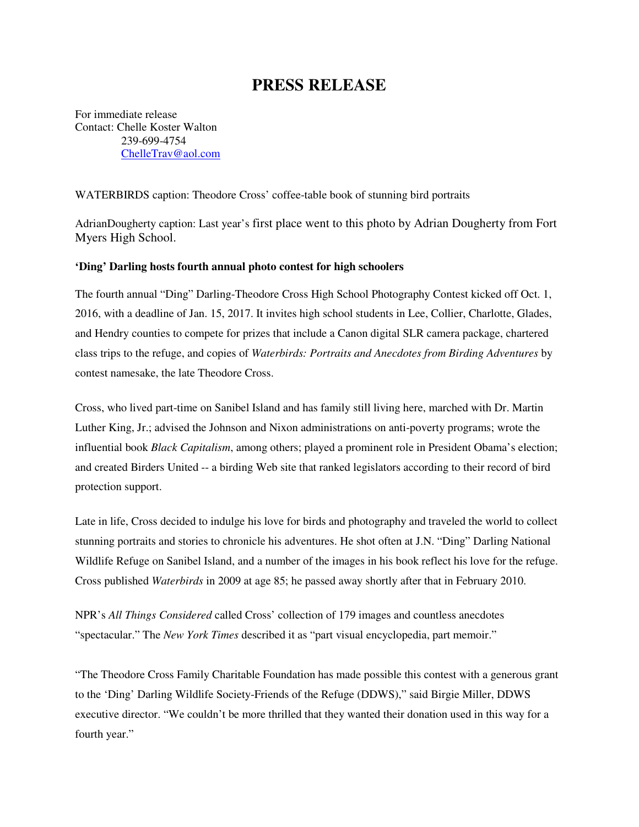## **PRESS RELEASE**

For immediate release Contact: Chelle Koster Walton 239-699-4754 ChelleTrav@aol.com

## WATERBIRDS caption: Theodore Cross' coffee-table book of stunning bird portraits

AdrianDougherty caption: Last year's first place went to this photo by Adrian Dougherty from Fort Myers High School.

## **'Ding' Darling hosts fourth annual photo contest for high schoolers**

The fourth annual "Ding" Darling-Theodore Cross High School Photography Contest kicked off Oct. 1, 2016, with a deadline of Jan. 15, 2017. It invites high school students in Lee, Collier, Charlotte, Glades, and Hendry counties to compete for prizes that include a Canon digital SLR camera package, chartered class trips to the refuge, and copies of *Waterbirds: Portraits and Anecdotes from Birding Adventures* by contest namesake, the late Theodore Cross.

Cross, who lived part-time on Sanibel Island and has family still living here, marched with Dr. Martin Luther King, Jr.; advised the Johnson and Nixon administrations on anti-poverty programs; wrote the influential book *Black Capitalism*, among others; played a prominent role in President Obama's election; and created Birders United -- a birding Web site that ranked legislators according to their record of bird protection support.

Late in life, Cross decided to indulge his love for birds and photography and traveled the world to collect stunning portraits and stories to chronicle his adventures. He shot often at J.N. "Ding" Darling National Wildlife Refuge on Sanibel Island, and a number of the images in his book reflect his love for the refuge. Cross published *Waterbirds* in 2009 at age 85; he passed away shortly after that in February 2010.

NPR's *All Things Considered* called Cross' collection of 179 images and countless anecdotes "spectacular." The *New York Times* described it as "part visual encyclopedia, part memoir."

"The Theodore Cross Family Charitable Foundation has made possible this contest with a generous grant to the 'Ding' Darling Wildlife Society-Friends of the Refuge (DDWS)," said Birgie Miller, DDWS executive director. "We couldn't be more thrilled that they wanted their donation used in this way for a fourth year."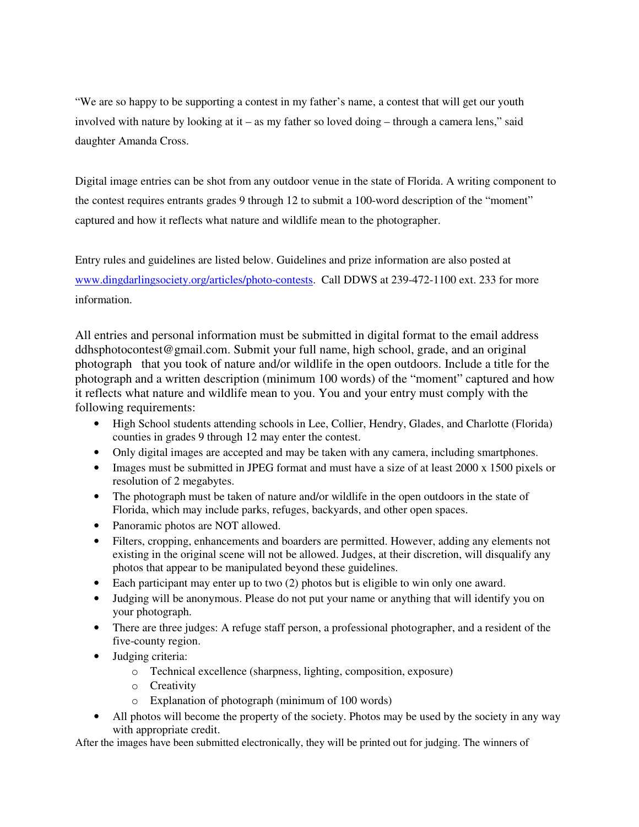"We are so happy to be supporting a contest in my father's name, a contest that will get our youth involved with nature by looking at it – as my father so loved doing – through a camera lens," said daughter Amanda Cross.

Digital image entries can be shot from any outdoor venue in the state of Florida. A writing component to the contest requires entrants grades 9 through 12 to submit a 100-word description of the "moment" captured and how it reflects what nature and wildlife mean to the photographer.

Entry rules and guidelines are listed below. Guidelines and prize information are also posted at www.dingdarlingsociety.org/articles/photo-contests. Call DDWS at 239-472-1100 ext. 233 for more information.

All entries and personal information must be submitted in digital format to the email address ddhsphotocontest@gmail.com. Submit your full name, high school, grade, and an original photograph that you took of nature and/or wildlife in the open outdoors. Include a title for the photograph and a written description (minimum 100 words) of the "moment" captured and how it reflects what nature and wildlife mean to you. You and your entry must comply with the following requirements:

- High School students attending schools in Lee, Collier, Hendry, Glades, and Charlotte (Florida) counties in grades 9 through 12 may enter the contest.
- Only digital images are accepted and may be taken with any camera, including smartphones.
- Images must be submitted in JPEG format and must have a size of at least 2000 x 1500 pixels or resolution of 2 megabytes.
- The photograph must be taken of nature and/or wildlife in the open outdoors in the state of Florida, which may include parks, refuges, backyards, and other open spaces.
- Panoramic photos are NOT allowed.
- Filters, cropping, enhancements and boarders are permitted. However, adding any elements not existing in the original scene will not be allowed. Judges, at their discretion, will disqualify any photos that appear to be manipulated beyond these guidelines.
- Each participant may enter up to two (2) photos but is eligible to win only one award.
- Judging will be anonymous. Please do not put your name or anything that will identify you on your photograph.
- There are three judges: A refuge staff person, a professional photographer, and a resident of the five-county region.
- Judging criteria:
	- o Technical excellence (sharpness, lighting, composition, exposure)
	- o Creativity
	- o Explanation of photograph (minimum of 100 words)
- All photos will become the property of the society. Photos may be used by the society in any way with appropriate credit.

After the images have been submitted electronically, they will be printed out for judging. The winners of